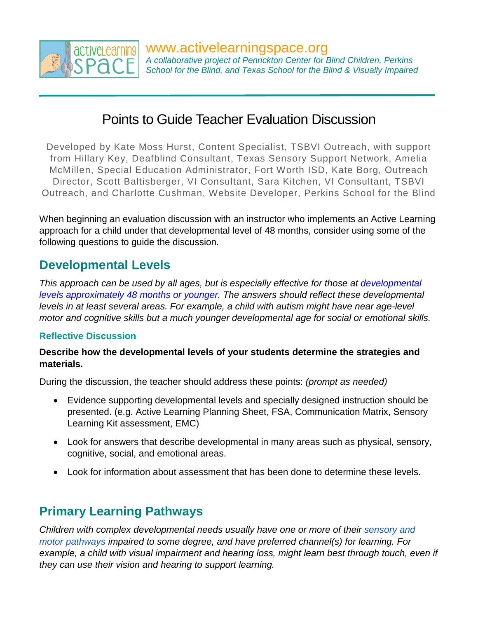

# Points to Guide Teacher Evaluation Discussion

Developed by Kate Moss Hurst, Content Specialist, TSBVI Outreach, with support from Hillary Key, Deafblind Consultant, Texas Sensory Support Network, Amelia McMillen, Special Education Administrator, Fort Worth ISD, Kate Borg, Outreach Director, Scott Baltisberger, VI Consultant, Sara Kitchen, VI Consultant, TSBVI Outreach, and Charlotte Cushman, Website Developer, Perkins School for the Blind

When beginning an evaluation discussion with an instructor who implements an Active Learning approach for a child under that developmental level of 48 months, consider using some of the following questions to guide the discussion.

### **Developmental Levels**

*This approach can be used by all ages, but is especially effective for those at developmental levels approximately 48 months or younger. The answers should reflect these developmental levels in at least several areas. For example, a child with autism might have near age-level motor and cognitive skills but a much younger developmental age for social or emotional skills.* 

### **Reflective Discussion**

### **Describe how the developmental levels of your students determine the strategies and materials.**

During the discussion, the teacher should address these points: *(prompt as needed)* 

- Evidence supporting developmental levels and specially designed instruction should be presented. (e.g. Active Learning Planning Sheet, FSA, Communication Matrix, Sensory Learning Kit assessment, EMC)
- Look for answers that describe developmental in many areas such as physical, sensory, cognitive, social, and emotional areas.
- Look for information about assessment that has been done to determine these levels.

# **Primary Learning Pathways**

*Children with complex developmental needs usually have one or more of their sensory and motor pathways impaired to some degree, and have preferred channel(s) for learning. For*  example, a child with visual impairment and hearing loss, might learn best through touch, even if *they can use their vision and hearing to support learning.*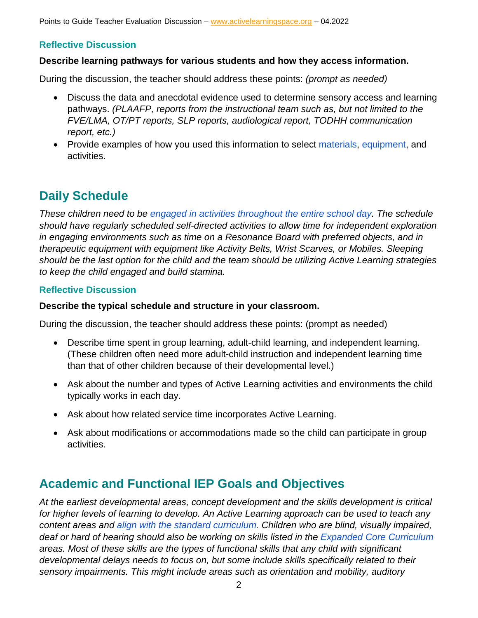Points to Guide Teacher Evaluation Discussion – [www.activelearningspace.org](http://www.activelearningspace.org/) - 04.2022

### **Reflective Discussion**

#### **Describe learning pathways for various students and how they access information.**

During the discussion, the teacher should address these points: *(prompt as needed)* 

- Discuss the data and anecdotal evidence used to determine sensory access and learning pathways. *(PLAAFP, reports from the instructional team such as, but not limited to the FVE/LMA, OT/PT reports, SLP reports, audiological report, TODHH communication report, etc.)*
- Provide examples of how you used this information to select materials, equipment, and activities.

# **Daily Schedule**

*These children need to be engaged in activities throughout the entire school day. The schedule should have regularly scheduled self-directed activities to allow time for independent exploration in engaging environments such as time on a Resonance Board with preferred objects, and in therapeutic equipment with equipment like Activity Belts, Wrist Scarves, or Mobiles. Sleeping should be the last option for the child and the team should be utilizing Active Learning strategies to keep the child engaged and build stamina.* 

#### **Reflective Discussion**

### **Describe the typical schedule and structure in your classroom.**

During the discussion, the teacher should address these points: (prompt as needed)

- Describe time spent in group learning, adult-child learning, and independent learning. (These children often need more adult-child instruction and independent learning time than that of other children because of their developmental level.)
- Ask about the number and types of Active Learning activities and environments the child typically works in each day.
- Ask about how related service time incorporates Active Learning.
- Ask about modifications or accommodations made so the child can participate in group activities.

### **Academic and Functional IEP Goals and Objectives**

*At the earliest developmental areas, concept development and the skills development is critical for higher levels of learning to develop. An Active Learning approach can be used to teach any content areas and align with the standard curriculum. Children who are blind, visually impaired, deaf or hard of hearing should also be working on skills listed in the Expanded Core Curriculum areas. Most of these skills are the types of functional skills that any child with significant developmental delays needs to focus on, but some include skills specifically related to their sensory impairments. This might include areas such as orientation and mobility, auditory*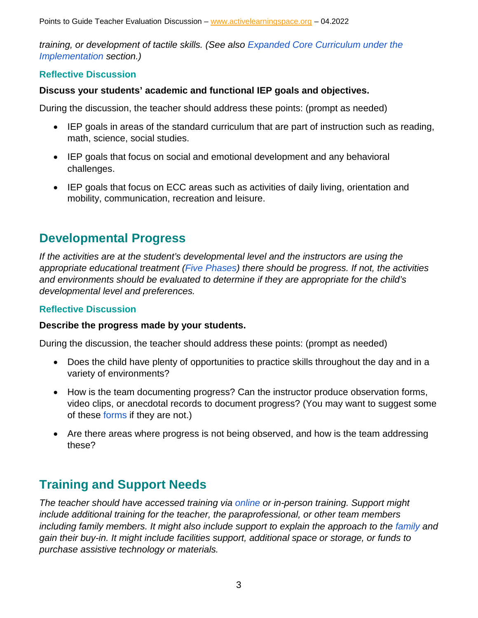Points to Guide Teacher Evaluation Discussion – [www.activelearningspace.org](http://www.activelearningspace.org/) - 04.2022

*training, or development of tactile skills. (See also Expanded Core Curriculum under the Implementation section.)* 

### **Reflective Discussion**

### **Discuss your students' academic and functional IEP goals and objectives.**

During the discussion, the teacher should address these points: (prompt as needed)

- IEP goals in areas of the standard curriculum that are part of instruction such as reading, math, science, social studies.
- IEP goals that focus on social and emotional development and any behavioral challenges.
- IEP goals that focus on ECC areas such as activities of daily living, orientation and mobility, communication, recreation and leisure.

### **Developmental Progress**

*If the activities are at the student's developmental level and the instructors are using the appropriate educational treatment (Five Phases) there should be progress. If not, the activities and environments should be evaluated to determine if they are appropriate for the child's developmental level and preferences.* 

### **Reflective Discussion**

#### **Describe the progress made by your students.**

During the discussion, the teacher should address these points: (prompt as needed)

- Does the child have plenty of opportunities to practice skills throughout the day and in a variety of environments?
- How is the team documenting progress? Can the instructor produce observation forms, video clips, or anecdotal records to document progress? (You may want to suggest some of these forms if they are not.)
- Are there areas where progress is not being observed, and how is the team addressing these?

# **Training and Support Needs**

*The teacher should have accessed training via online or in-person training. Support might include additional training for the teacher, the paraprofessional, or other team members including family members. It might also include support to explain the approach to the family and gain their buy-in. It might include facilities support, additional space or storage, or funds to purchase assistive technology or materials.*